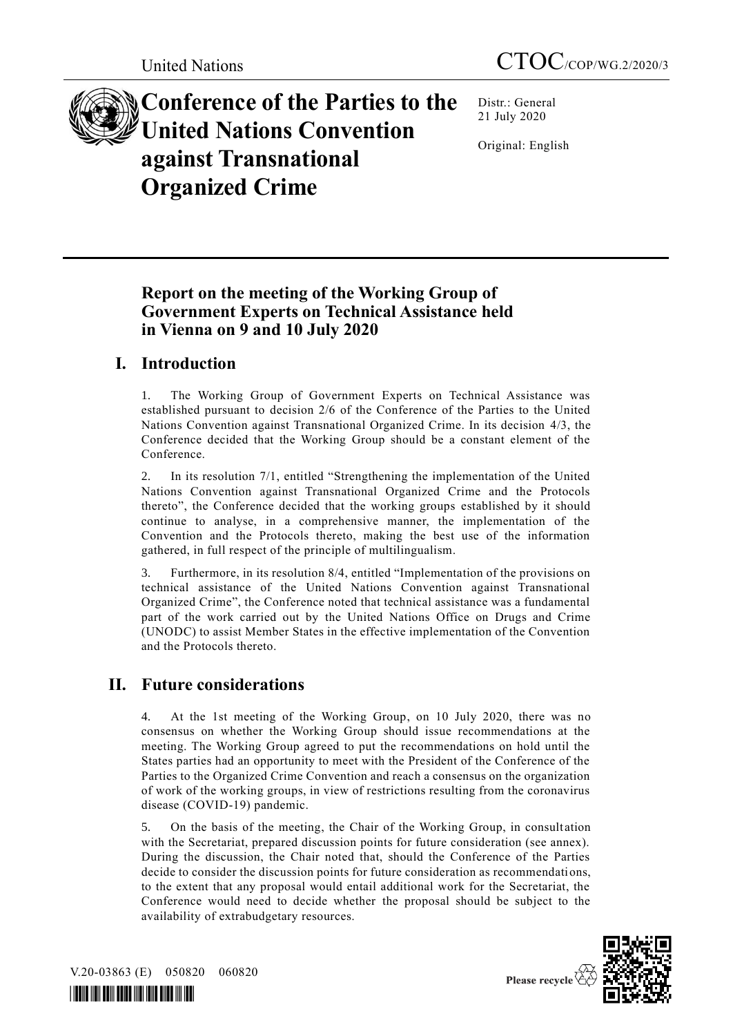

**Conference of the Parties to the United Nations Convention against Transnational Organized Crime**

Distr.: General 21 July 2020

Original: English

# **Report on the meeting of the Working Group of Government Experts on Technical Assistance held in Vienna on 9 and 10 July 2020**

# **I. Introduction**

1. The Working Group of Government Experts on Technical Assistance was established pursuant to decision 2/6 of the Conference of the Parties to the United Nations Convention against Transnational Organized Crime. In its decision 4/3, the Conference decided that the Working Group should be a constant element of the Conference.

2. In its resolution 7/1, entitled "Strengthening the implementation of the United Nations Convention against Transnational Organized Crime and the Protocols thereto", the Conference decided that the working groups established by it should continue to analyse, in a comprehensive manner, the implementation of the Convention and the Protocols thereto, making the best use of the information gathered, in full respect of the principle of multilingualism.

3. Furthermore, in its resolution 8/4, entitled "Implementation of the provisions on technical assistance of the United Nations Convention against Transnational Organized Crime", the Conference noted that technical assistance was a fundamental part of the work carried out by the United Nations Office on Drugs and Crime (UNODC) to assist Member States in the effective implementation of the Convention and the Protocols thereto.

# **II. Future considerations**

4. At the 1st meeting of the Working Group, on 10 July 2020, there was no consensus on whether the Working Group should issue recommendations at the meeting. The Working Group agreed to put the recommendations on hold until the States parties had an opportunity to meet with the President of the Conference of the Parties to the Organized Crime Convention and reach a consensus on the organization of work of the working groups, in view of restrictions resulting from the coronavirus disease (COVID-19) pandemic.

5. On the basis of the meeting, the Chair of the Working Group, in consult ation with the Secretariat, prepared discussion points for future consideration (see annex). During the discussion, the Chair noted that, should the Conference of the Parties decide to consider the discussion points for future consideration as recommendations, to the extent that any proposal would entail additional work for the Secretariat, the Conference would need to decide whether the proposal should be subject to the availability of extrabudgetary resources.



V.20-03863 (E) 050820 060820

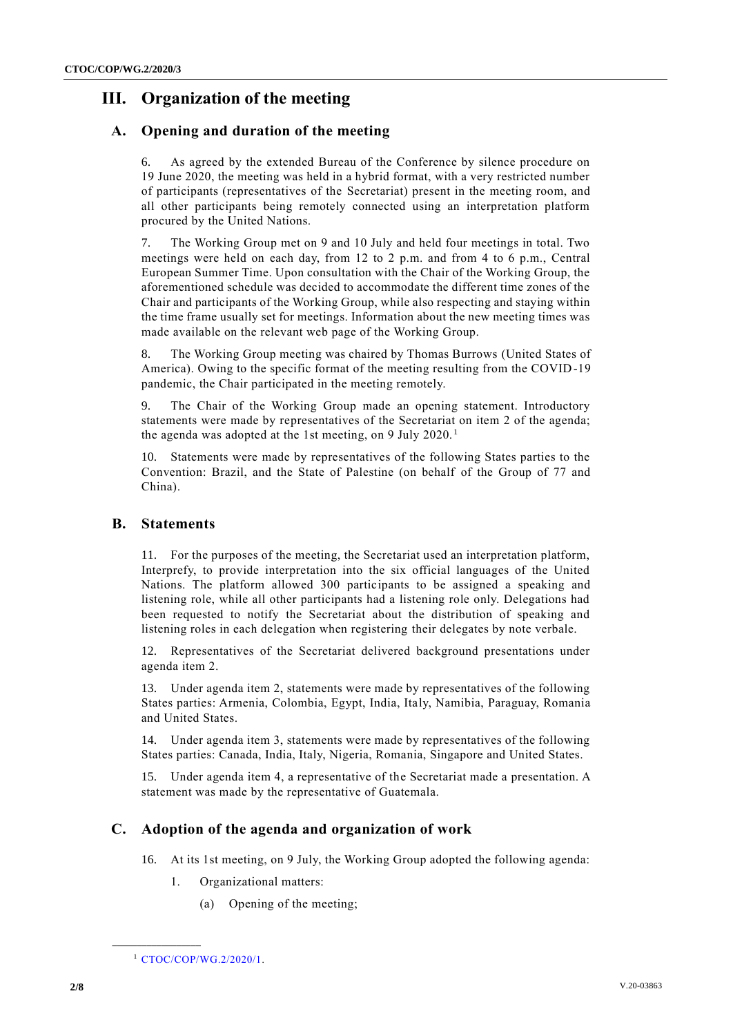# **III. Organization of the meeting**

## **A. Opening and duration of the meeting**

As agreed by the extended Bureau of the Conference by silence procedure on 19 June 2020, the meeting was held in a hybrid format, with a very restricted number of participants (representatives of the Secretariat) present in the meeting room, and all other participants being remotely connected using an interpretation platform procured by the United Nations.

7. The Working Group met on 9 and 10 July and held four meetings in total. Two meetings were held on each day, from 12 to 2 p.m. and from 4 to 6 p.m., Central European Summer Time. Upon consultation with the Chair of the Working Group, the aforementioned schedule was decided to accommodate the different time zones of the Chair and participants of the Working Group, while also respecting and staying within the time frame usually set for meetings. Information about the new meeting times was made available on the relevant web page of the Working Group.

8. The Working Group meeting was chaired by Thomas Burrows (United States of America). Owing to the specific format of the meeting resulting from the COVID-19 pandemic, the Chair participated in the meeting remotely.

9. The Chair of the Working Group made an opening statement. Introductory statements were made by representatives of the Secretariat on item 2 of the agenda; the agenda was adopted at the 1st meeting, on 9 July 2020.<sup>1</sup>

10. Statements were made by representatives of the following States parties to the Convention: Brazil, and the State of Palestine (on behalf of the Group of 77 and China).

#### **B. Statements**

11. For the purposes of the meeting, the Secretariat used an interpretation platform, Interprefy, to provide interpretation into the six official languages of the United Nations. The platform allowed 300 participants to be assigned a speaking and listening role, while all other participants had a listening role only. Delegations had been requested to notify the Secretariat about the distribution of speaking and listening roles in each delegation when registering their delegates by note verbale.

12. Representatives of the Secretariat delivered background presentations under agenda item 2.

13. Under agenda item 2, statements were made by representatives of the following States parties: Armenia, Colombia, Egypt, India, Italy, Namibia, Paraguay, Romania and United States.

14. Under agenda item 3, statements were made by representatives of the following States parties: Canada, India, Italy, Nigeria, Romania, Singapore and United States.

15. Under agenda item 4, a representative of the Secretariat made a presentation. A statement was made by the representative of Guatemala.

## **C. Adoption of the agenda and organization of work**

- 16. At its 1st meeting, on 9 July, the Working Group adopted the following agenda:
	- 1. Organizational matters:
		- (a) Opening of the meeting;

**\_\_\_\_\_\_\_\_\_\_\_\_\_\_\_\_\_\_**

<sup>1</sup> [CTOC/COP/WG.2/2020/1.](http://undocs.org/CTOC/COP/WG.2/2020/1)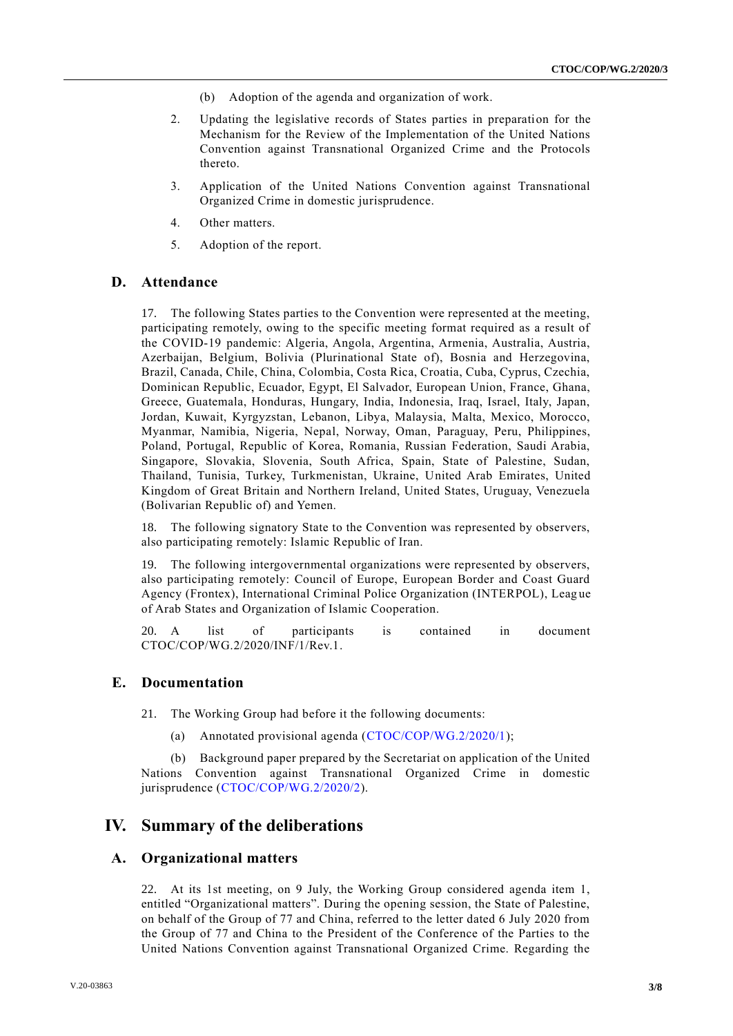- (b) Adoption of the agenda and organization of work.
- 2. Updating the legislative records of States parties in preparation for the Mechanism for the Review of the Implementation of the United Nations Convention against Transnational Organized Crime and the Protocols thereto.
- 3. Application of the United Nations Convention against Transnational Organized Crime in domestic jurisprudence.
- 4. Other matters.
- 5. Adoption of the report.

#### **D. Attendance**

17. The following States parties to the Convention were represented at the meeting, participating remotely, owing to the specific meeting format required as a result of the COVID-19 pandemic: Algeria, Angola, Argentina, Armenia, Australia, Austria, Azerbaijan, Belgium, Bolivia (Plurinational State of), Bosnia and Herzegovina, Brazil, Canada, Chile, China, Colombia, Costa Rica, Croatia, Cuba, Cyprus, Czechia, Dominican Republic, Ecuador, Egypt, El Salvador, European Union, France, Ghana, Greece, Guatemala, Honduras, Hungary, India, Indonesia, Iraq, Israel, Italy, Japan, Jordan, Kuwait, Kyrgyzstan, Lebanon, Libya, Malaysia, Malta, Mexico, Morocco, Myanmar, Namibia, Nigeria, Nepal, Norway, Oman, Paraguay, Peru, Philippines, Poland, Portugal, Republic of Korea, Romania, Russian Federation, Saudi Arabia, Singapore, Slovakia, Slovenia, South Africa, Spain, State of Palestine, Sudan, Thailand, Tunisia, Turkey, Turkmenistan, Ukraine, United Arab Emirates, United Kingdom of Great Britain and Northern Ireland, United States, Uruguay, Venezuela (Bolivarian Republic of) and Yemen.

18. The following signatory State to the Convention was represented by observers, also participating remotely: Islamic Republic of Iran.

19. The following intergovernmental organizations were represented by observers, also participating remotely: Council of Europe, European Border and Coast Guard Agency (Frontex), International Criminal Police Organization (INTERPOL), Leag ue of Arab States and Organization of Islamic Cooperation.

20. A list of participants is contained in document CTOC/COP/WG.2/2020/INF/1/Rev.1.

#### **E. Documentation**

21. The Working Group had before it the following documents:

(a) Annotated provisional agenda [\(CTOC/COP/WG.2/2020/1\)](http://undocs.org/CTOC/COP/WG.2/2020/1);

(b) Background paper prepared by the Secretariat on application of the United Nations Convention against Transnational Organized Crime in domestic jurisprudence [\(CTOC/COP/WG.2/2020/2\)](http://undocs.org/CTOC/COP/WG.2/2020/2).

## **IV. Summary of the deliberations**

#### **A. Organizational matters**

22. At its 1st meeting, on 9 July, the Working Group considered agenda item 1, entitled "Organizational matters". During the opening session, the State of Palestine, on behalf of the Group of 77 and China, referred to the letter dated 6 July 2020 from the Group of 77 and China to the President of the Conference of the Parties to the United Nations Convention against Transnational Organized Crime. Regarding the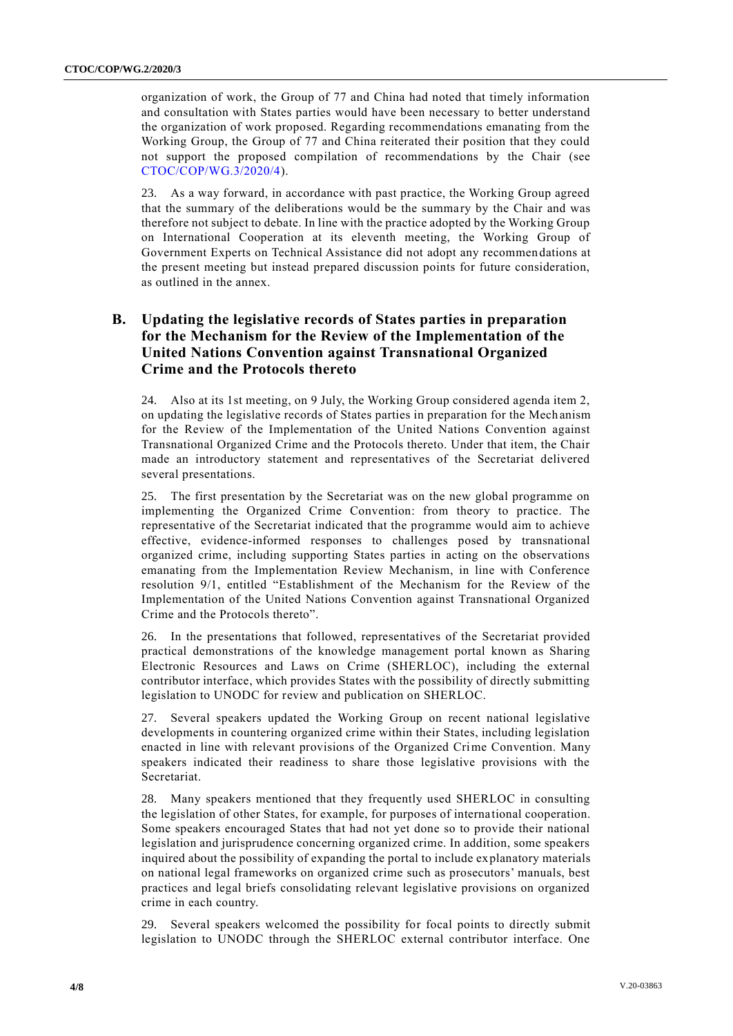organization of work, the Group of 77 and China had noted that timely information and consultation with States parties would have been necessary to better understand the organization of work proposed. Regarding recommendations emanating from the Working Group, the Group of 77 and China reiterated their position that they could not support the proposed compilation of recommendations by the Chair (see [CTOC/COP/WG.3/2020/4\)](http://undocs.org/CTOC/COP/WG.3/2020/4).

23. As a way forward, in accordance with past practice, the Working Group agreed that the summary of the deliberations would be the summary by the Chair and was therefore not subject to debate. In line with the practice adopted by the Working Group on International Cooperation at its eleventh meeting, the Working Group of Government Experts on Technical Assistance did not adopt any recommendations at the present meeting but instead prepared discussion points for future consideration, as outlined in the annex.

## **B. Updating the legislative records of States parties in preparation for the Mechanism for the Review of the Implementation of the United Nations Convention against Transnational Organized Crime and the Protocols thereto**

24. Also at its 1st meeting, on 9 July, the Working Group considered agenda item 2, on updating the legislative records of States parties in preparation for the Mech anism for the Review of the Implementation of the United Nations Convention against Transnational Organized Crime and the Protocols thereto. Under that item, the Chair made an introductory statement and representatives of the Secretariat delivered several presentations.

25. The first presentation by the Secretariat was on the new global programme on implementing the Organized Crime Convention: from theory to practice. The representative of the Secretariat indicated that the programme would aim to achieve effective, evidence-informed responses to challenges posed by transnational organized crime, including supporting States parties in acting on the observations emanating from the Implementation Review Mechanism, in line with Conference resolution 9/1, entitled "Establishment of the Mechanism for the Review of the Implementation of the United Nations Convention against Transnational Organized Crime and the Protocols thereto".

26. In the presentations that followed, representatives of the Secretariat provided practical demonstrations of the knowledge management portal known as Sharing Electronic Resources and Laws on Crime (SHERLOC), including the external contributor interface, which provides States with the possibility of directly submitting legislation to UNODC for review and publication on SHERLOC.

27. Several speakers updated the Working Group on recent national legislative developments in countering organized crime within their States, including legislation enacted in line with relevant provisions of the Organized Crime Convention. Many speakers indicated their readiness to share those legislative provisions with the Secretariat.

28. Many speakers mentioned that they frequently used SHERLOC in consulting the legislation of other States, for example, for purposes of international cooperation. Some speakers encouraged States that had not yet done so to provide their national legislation and jurisprudence concerning organized crime. In addition, some speakers inquired about the possibility of expanding the portal to include explanatory materials on national legal frameworks on organized crime such as prosecutors' manuals, best practices and legal briefs consolidating relevant legislative provisions on organized crime in each country.

29. Several speakers welcomed the possibility for focal points to directly submit legislation to UNODC through the SHERLOC external contributor interface. One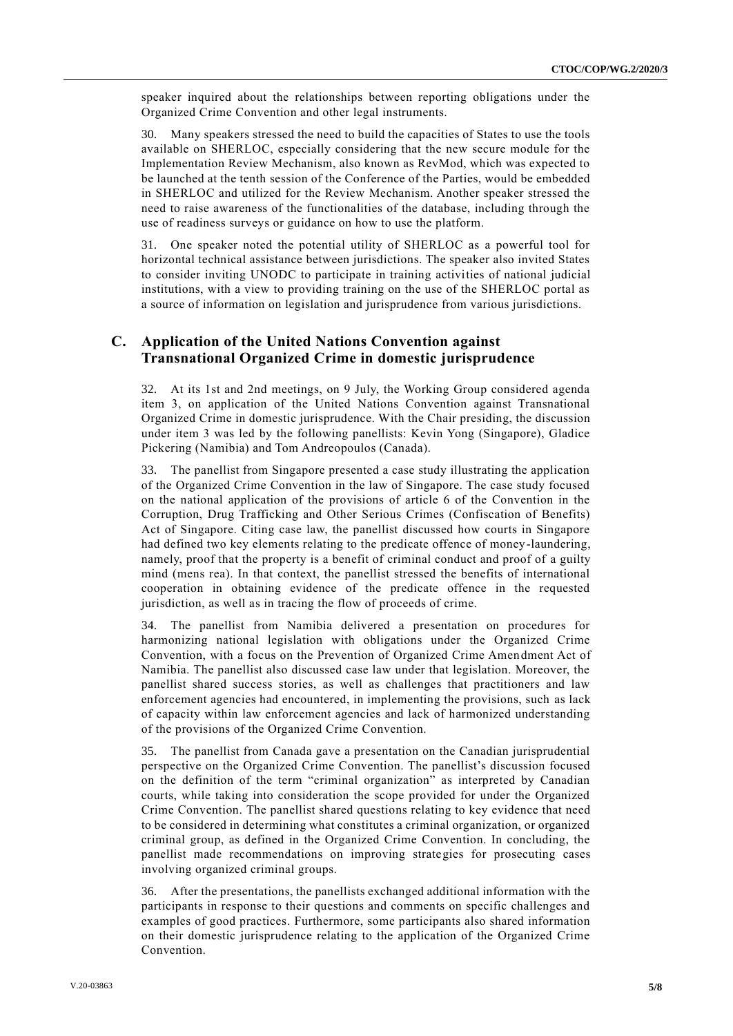speaker inquired about the relationships between reporting obligations under the Organized Crime Convention and other legal instruments.

30. Many speakers stressed the need to build the capacities of States to use the tools available on SHERLOC, especially considering that the new secure module for the Implementation Review Mechanism, also known as RevMod, which was expected to be launched at the tenth session of the Conference of the Parties, would be embedded in SHERLOC and utilized for the Review Mechanism. Another speaker stressed the need to raise awareness of the functionalities of the database, including through the use of readiness surveys or guidance on how to use the platform.

31. One speaker noted the potential utility of SHERLOC as a powerful tool for horizontal technical assistance between jurisdictions. The speaker also invited States to consider inviting UNODC to participate in training activities of national judicial institutions, with a view to providing training on the use of the SHERLOC portal as a source of information on legislation and jurisprudence from various jurisdictions.

#### **C. Application of the United Nations Convention against Transnational Organized Crime in domestic jurisprudence**

32. At its 1st and 2nd meetings, on 9 July, the Working Group considered agenda item 3, on application of the United Nations Convention against Transnational Organized Crime in domestic jurisprudence. With the Chair presiding, the discussion under item 3 was led by the following panellists: Kevin Yong (Singapore), Gladice Pickering (Namibia) and Tom Andreopoulos (Canada).

33. The panellist from Singapore presented a case study illustrating the application of the Organized Crime Convention in the law of Singapore. The case study focused on the national application of the provisions of article 6 of the Convention in the Corruption, Drug Trafficking and Other Serious Crimes (Confiscation of Benefits) Act of Singapore. Citing case law, the panellist discussed how courts in Singapore had defined two key elements relating to the predicate offence of money-laundering, namely, proof that the property is a benefit of criminal conduct and proof of a guilty mind (mens rea). In that context, the panellist stressed the benefits of international cooperation in obtaining evidence of the predicate offence in the requested jurisdiction, as well as in tracing the flow of proceeds of crime.

34. The panellist from Namibia delivered a presentation on procedures for harmonizing national legislation with obligations under the Organized Crime Convention, with a focus on the Prevention of Organized Crime Amendment Act of Namibia. The panellist also discussed case law under that legislation. Moreover, the panellist shared success stories, as well as challenges that practitioners and law enforcement agencies had encountered, in implementing the provisions, such as lack of capacity within law enforcement agencies and lack of harmonized understanding of the provisions of the Organized Crime Convention.

35. The panellist from Canada gave a presentation on the Canadian jurisprudential perspective on the Organized Crime Convention. The panellist's discussion focused on the definition of the term "criminal organization" as interpreted by Canadian courts, while taking into consideration the scope provided for under the Organized Crime Convention. The panellist shared questions relating to key evidence that need to be considered in determining what constitutes a criminal organization, or organized criminal group, as defined in the Organized Crime Convention. In concluding, the panellist made recommendations on improving strategies for prosecuting cases involving organized criminal groups.

36. After the presentations, the panellists exchanged additional information with the participants in response to their questions and comments on specific challenges and examples of good practices. Furthermore, some participants also shared information on their domestic jurisprudence relating to the application of the Organized Crime Convention.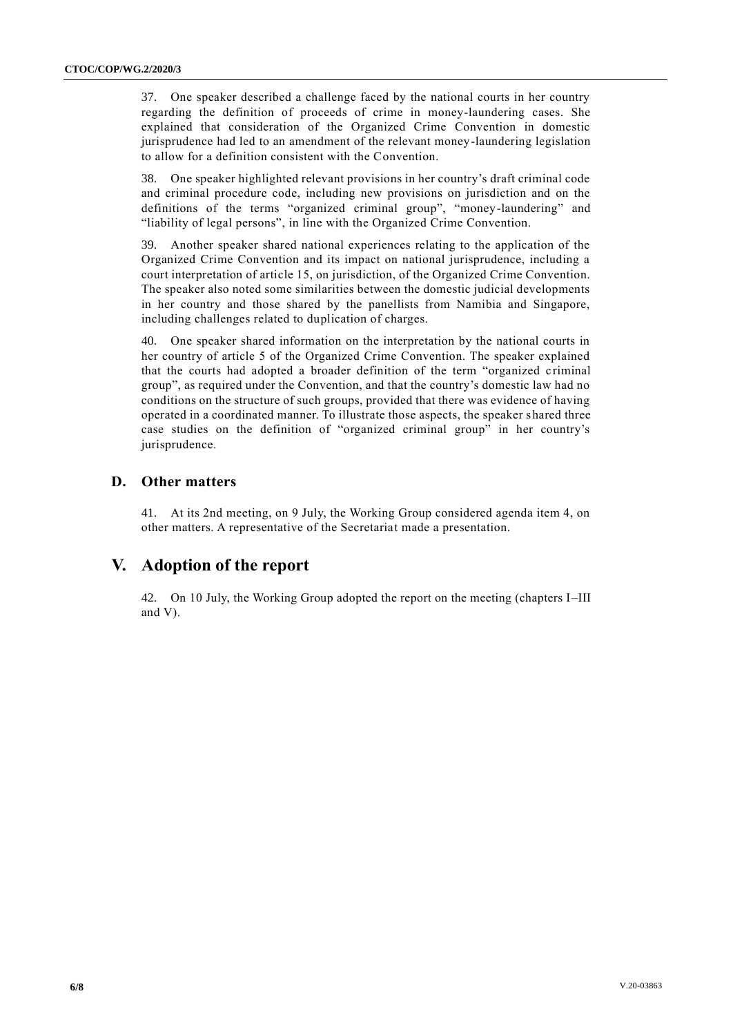37. One speaker described a challenge faced by the national courts in her country regarding the definition of proceeds of crime in money-laundering cases. She explained that consideration of the Organized Crime Convention in domestic jurisprudence had led to an amendment of the relevant money-laundering legislation to allow for a definition consistent with the Convention.

38. One speaker highlighted relevant provisions in her country's draft criminal code and criminal procedure code, including new provisions on jurisdiction and on the definitions of the terms "organized criminal group", "money-laundering" and "liability of legal persons", in line with the Organized Crime Convention.

39. Another speaker shared national experiences relating to the application of the Organized Crime Convention and its impact on national jurisprudence, including a court interpretation of article 15, on jurisdiction, of the Organized Crime Convention. The speaker also noted some similarities between the domestic judicial developments in her country and those shared by the panellists from Namibia and Singapore, including challenges related to duplication of charges.

40. One speaker shared information on the interpretation by the national courts in her country of article 5 of the Organized Crime Convention. The speaker explained that the courts had adopted a broader definition of the term "organized criminal group", as required under the Convention, and that the country's domestic law had no conditions on the structure of such groups, provided that there was evidence of having operated in a coordinated manner. To illustrate those aspects, the speaker shared three case studies on the definition of "organized criminal group" in her country's jurisprudence.

#### **D. Other matters**

41. At its 2nd meeting, on 9 July, the Working Group considered agenda item 4, on other matters. A representative of the Secretariat made a presentation.

## **V. Adoption of the report**

42. On 10 July, the Working Group adopted the report on the meeting (chapters I–III and V).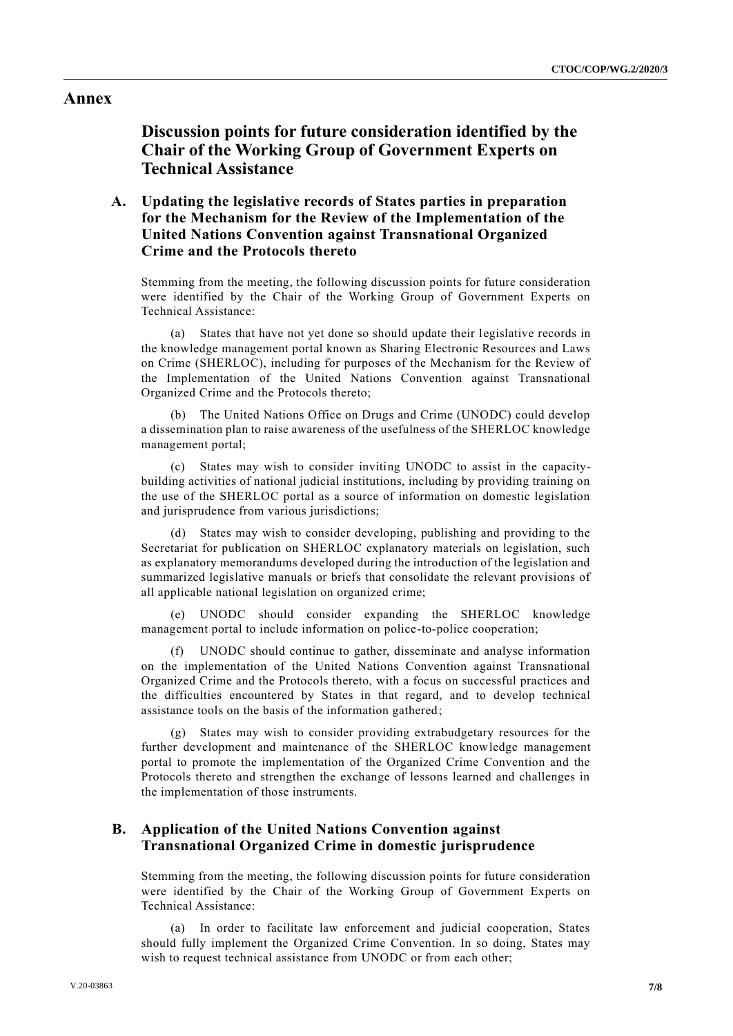#### **Annex**

**Discussion points for future consideration identified by the Chair of the Working Group of Government Experts on Technical Assistance**

## **A. Updating the legislative records of States parties in preparation for the Mechanism for the Review of the Implementation of the United Nations Convention against Transnational Organized Crime and the Protocols thereto**

Stemming from the meeting, the following discussion points for future consideration were identified by the Chair of the Working Group of Government Experts on Technical Assistance:

(a) States that have not yet done so should update their legislative records in the knowledge management portal known as Sharing Electronic Resources and Laws on Crime (SHERLOC), including for purposes of the Mechanism for the Review of the Implementation of the United Nations Convention against Transnational Organized Crime and the Protocols thereto;

(b) The United Nations Office on Drugs and Crime (UNODC) could develop a dissemination plan to raise awareness of the usefulness of the SHERLOC knowledge management portal;

(c) States may wish to consider inviting UNODC to assist in the capacitybuilding activities of national judicial institutions, including by providing training on the use of the SHERLOC portal as a source of information on domestic legislation and jurisprudence from various jurisdictions;

(d) States may wish to consider developing, publishing and providing to the Secretariat for publication on SHERLOC explanatory materials on legislation, such as explanatory memorandums developed during the introduction of the legislation and summarized legislative manuals or briefs that consolidate the relevant provisions of all applicable national legislation on organized crime;

(e) UNODC should consider expanding the SHERLOC knowledge management portal to include information on police-to-police cooperation;

(f) UNODC should continue to gather, disseminate and analyse information on the implementation of the United Nations Convention against Transnational Organized Crime and the Protocols thereto, with a focus on successful practices and the difficulties encountered by States in that regard, and to develop technical assistance tools on the basis of the information gathered;

(g) States may wish to consider providing extrabudgetary resources for the further development and maintenance of the SHERLOC knowledge management portal to promote the implementation of the Organized Crime Convention and the Protocols thereto and strengthen the exchange of lessons learned and challenges in the implementation of those instruments.

### **B. Application of the United Nations Convention against Transnational Organized Crime in domestic jurisprudence**

Stemming from the meeting, the following discussion points for future consideration were identified by the Chair of the Working Group of Government Experts on Technical Assistance:

(a) In order to facilitate law enforcement and judicial cooperation, States should fully implement the Organized Crime Convention. In so doing, States may wish to request technical assistance from UNODC or from each other;